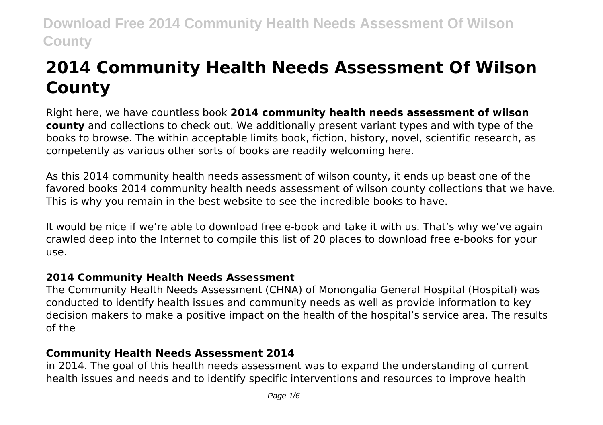# **2014 Community Health Needs Assessment Of Wilson County**

Right here, we have countless book **2014 community health needs assessment of wilson county** and collections to check out. We additionally present variant types and with type of the books to browse. The within acceptable limits book, fiction, history, novel, scientific research, as competently as various other sorts of books are readily welcoming here.

As this 2014 community health needs assessment of wilson county, it ends up beast one of the favored books 2014 community health needs assessment of wilson county collections that we have. This is why you remain in the best website to see the incredible books to have.

It would be nice if we're able to download free e-book and take it with us. That's why we've again crawled deep into the Internet to compile this list of 20 places to download free e-books for your use.

# **2014 Community Health Needs Assessment**

The Community Health Needs Assessment (CHNA) of Monongalia General Hospital (Hospital) was conducted to identify health issues and community needs as well as provide information to key decision makers to make a positive impact on the health of the hospital's service area. The results of the

# **Community Health Needs Assessment 2014**

in 2014. The goal of this health needs assessment was to expand the understanding of current health issues and needs and to identify specific interventions and resources to improve health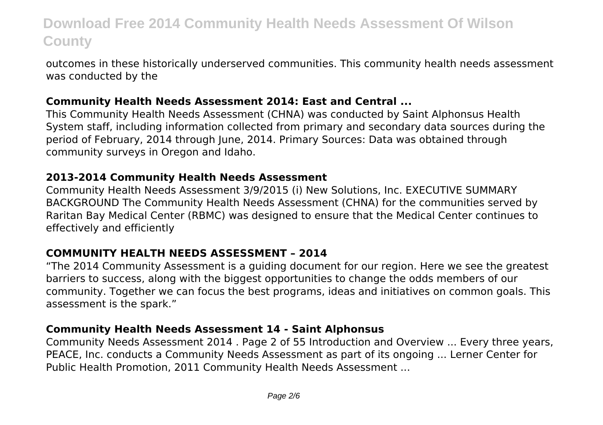outcomes in these historically underserved communities. This community health needs assessment was conducted by the

#### **Community Health Needs Assessment 2014: East and Central ...**

This Community Health Needs Assessment (CHNA) was conducted by Saint Alphonsus Health System staff, including information collected from primary and secondary data sources during the period of February, 2014 through June, 2014. Primary Sources: Data was obtained through community surveys in Oregon and Idaho.

#### **2013-2014 Community Health Needs Assessment**

Community Health Needs Assessment 3/9/2015 (i) New Solutions, Inc. EXECUTIVE SUMMARY BACKGROUND The Community Health Needs Assessment (CHNA) for the communities served by Raritan Bay Medical Center (RBMC) was designed to ensure that the Medical Center continues to effectively and efficiently

## **COMMUNITY HEALTH NEEDS ASSESSMENT – 2014**

"The 2014 Community Assessment is a guiding document for our region. Here we see the greatest barriers to success, along with the biggest opportunities to change the odds members of our community. Together we can focus the best programs, ideas and initiatives on common goals. This assessment is the spark."

## **Community Health Needs Assessment 14 - Saint Alphonsus**

Community Needs Assessment 2014 . Page 2 of 55 Introduction and Overview ... Every three years, PEACE, Inc. conducts a Community Needs Assessment as part of its ongoing ... Lerner Center for Public Health Promotion, 2011 Community Health Needs Assessment ...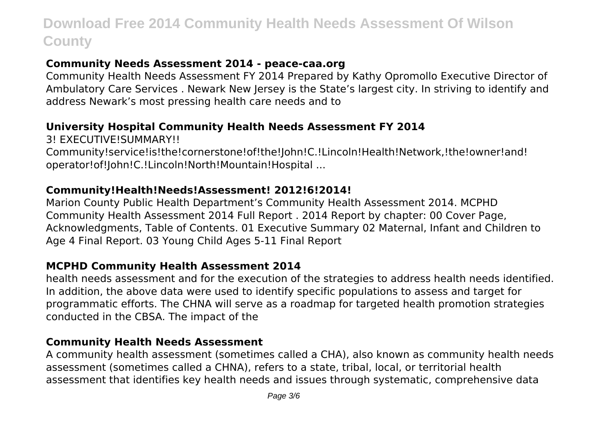# **Community Needs Assessment 2014 - peace-caa.org**

Community Health Needs Assessment FY 2014 Prepared by Kathy Opromollo Executive Director of Ambulatory Care Services . Newark New Jersey is the State's largest city. In striving to identify and address Newark's most pressing health care needs and to

#### **University Hospital Community Health Needs Assessment FY 2014**

3! EXECUTIVE!SUMMARY!!

Community!service!is!the!cornerstone!of!the!John!C.!Lincoln!Health!Network,!the!owner!and! operator!of!John!C.!Lincoln!North!Mountain!Hospital ...

#### **Community!Health!Needs!Assessment! 2012!6!2014!**

Marion County Public Health Department's Community Health Assessment 2014. MCPHD Community Health Assessment 2014 Full Report . 2014 Report by chapter: 00 Cover Page, Acknowledgments, Table of Contents. 01 Executive Summary 02 Maternal, Infant and Children to Age 4 Final Report. 03 Young Child Ages 5-11 Final Report

#### **MCPHD Community Health Assessment 2014**

health needs assessment and for the execution of the strategies to address health needs identified. In addition, the above data were used to identify specific populations to assess and target for programmatic efforts. The CHNA will serve as a roadmap for targeted health promotion strategies conducted in the CBSA. The impact of the

#### **Community Health Needs Assessment**

A community health assessment (sometimes called a CHA), also known as community health needs assessment (sometimes called a CHNA), refers to a state, tribal, local, or territorial health assessment that identifies key health needs and issues through systematic, comprehensive data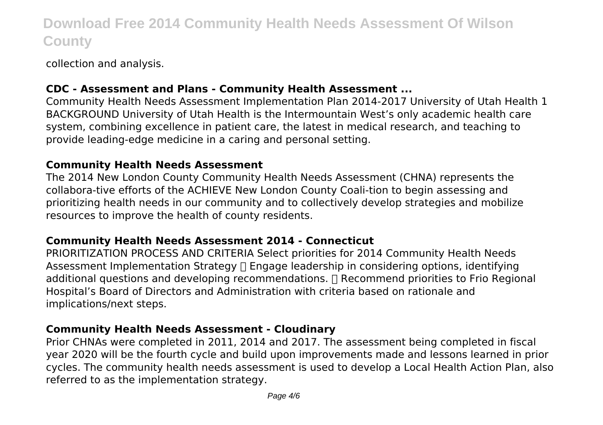collection and analysis.

## **CDC - Assessment and Plans - Community Health Assessment ...**

Community Health Needs Assessment Implementation Plan 2014-2017 University of Utah Health 1 BACKGROUND University of Utah Health is the Intermountain West's only academic health care system, combining excellence in patient care, the latest in medical research, and teaching to provide leading-edge medicine in a caring and personal setting.

#### **Community Health Needs Assessment**

The 2014 New London County Community Health Needs Assessment (CHNA) represents the collabora-tive efforts of the ACHIEVE New London County Coali-tion to begin assessing and prioritizing health needs in our community and to collectively develop strategies and mobilize resources to improve the health of county residents.

## **Community Health Needs Assessment 2014 - Connecticut**

PRIORITIZATION PROCESS AND CRITERIA Select priorities for 2014 Community Health Needs Assessment Implementation Strategy [] Engage leadership in considering options, identifying additional questions and developing recommendations. Recommend priorities to Frio Regional Hospital's Board of Directors and Administration with criteria based on rationale and implications/next steps.

# **Community Health Needs Assessment - Cloudinary**

Prior CHNAs were completed in 2011, 2014 and 2017. The assessment being completed in fiscal year 2020 will be the fourth cycle and build upon improvements made and lessons learned in prior cycles. The community health needs assessment is used to develop a Local Health Action Plan, also referred to as the implementation strategy.